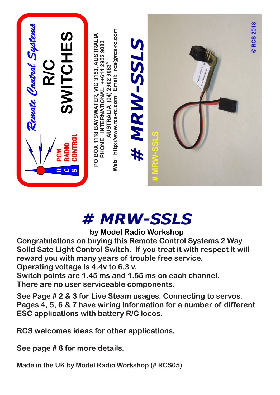

## *# MRW-SSLS*

## **by Model Radio Workshop**

**Congratulations on buying this Remote Control Systems 2 Way Solid Sate Light Control Switch. If you treat it with respect it will reward you with many years of trouble free service. Operating voltage is 4.4v to 6.3 v.** 

**Switch points are 1.45 ms and 1.55 ms on each channel. There are no user serviceable components.**

**See Page # 2 & 3 for Live Steam usages. Connecting to servos. Pages 4, 5, 6 & 7 have wiring information for a number of different ESC applications with battery R/C locos.**

**RCS welcomes ideas for other applications.**

**See page # 8 for more details.**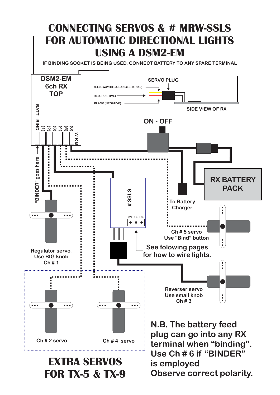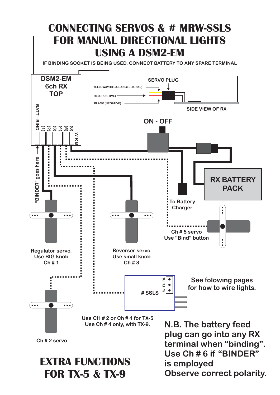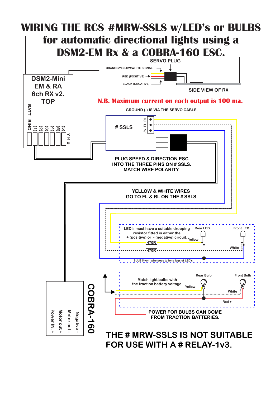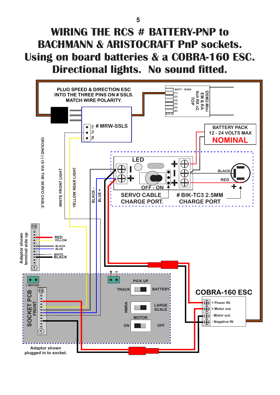## **WIRING THE RCS # BATTERY-PNP to BACHMANN & ARISTOCRAFT PnP sockets. Using on board batteries & a COBRA-160 ESC. Directional lights. No sound fitted.**

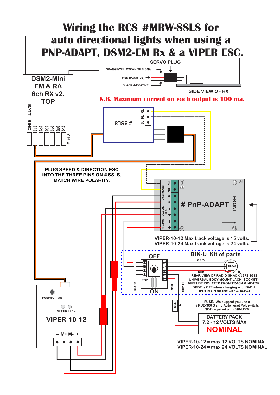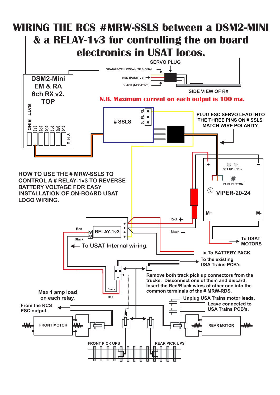